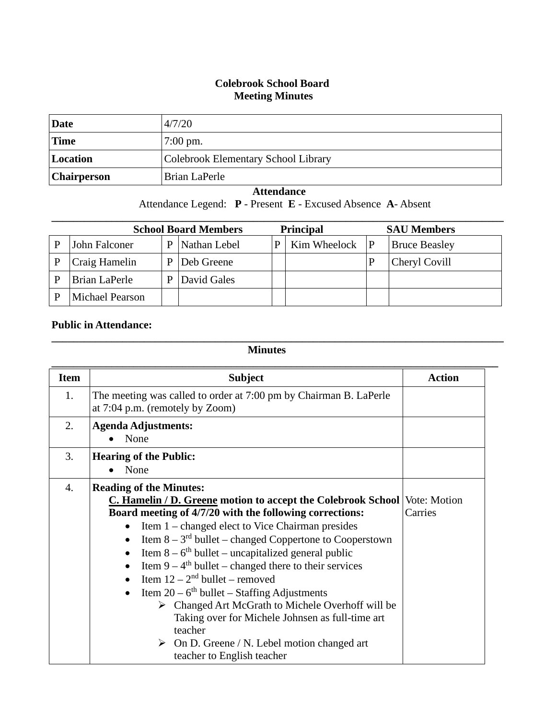## **Colebrook School Board Meeting Minutes**

| Date               | 4/7/20                              |
|--------------------|-------------------------------------|
| <b>Time</b>        | $7:00 \text{ pm}$ .                 |
| Location           | Colebrook Elementary School Library |
| <b>Chairperson</b> | Brian LaPerle                       |

## **Attendance**

Attendance Legend: **P** - Present **E** - Excused Absence **A**- Absent

| <b>School Board Members</b> |                 |   |              | <b>Principal</b> | <b>SAU Members</b> |   |                      |
|-----------------------------|-----------------|---|--------------|------------------|--------------------|---|----------------------|
|                             | John Falconer   | D | Nathan Lebel | P                | Kim Wheelock       | P | <b>Bruce Beasley</b> |
|                             | Craig Hamelin   |   | Deb Greene   |                  |                    |   | Cheryl Covill        |
|                             | Brian LaPerle   |   | David Gales  |                  |                    |   |                      |
|                             | Michael Pearson |   |              |                  |                    |   |                      |

## **Public in Attendance:**

## **Minutes**

**\_\_\_\_\_\_\_\_\_\_\_\_\_\_\_\_\_\_\_\_\_\_\_\_\_\_\_\_\_\_\_\_\_\_\_\_\_\_\_\_\_\_\_\_\_\_\_\_\_\_\_\_\_\_\_\_\_\_\_\_\_\_\_\_\_\_\_\_\_\_\_\_\_\_\_\_\_\_\_\_\_\_\_**

| <b>Item</b>    | <b>Subject</b>                                                                                                                                                                                                                                                                                                                                                                                                                                                                                                                                                                                                                                                                                                                                                                            | <b>Action</b> |
|----------------|-------------------------------------------------------------------------------------------------------------------------------------------------------------------------------------------------------------------------------------------------------------------------------------------------------------------------------------------------------------------------------------------------------------------------------------------------------------------------------------------------------------------------------------------------------------------------------------------------------------------------------------------------------------------------------------------------------------------------------------------------------------------------------------------|---------------|
| 1.             | The meeting was called to order at 7:00 pm by Chairman B. LaPerle<br>at 7:04 p.m. (remotely by Zoom)                                                                                                                                                                                                                                                                                                                                                                                                                                                                                                                                                                                                                                                                                      |               |
| 2.             | <b>Agenda Adjustments:</b><br>None                                                                                                                                                                                                                                                                                                                                                                                                                                                                                                                                                                                                                                                                                                                                                        |               |
| 3.             | <b>Hearing of the Public:</b><br>None                                                                                                                                                                                                                                                                                                                                                                                                                                                                                                                                                                                                                                                                                                                                                     |               |
| $\mathbf{4}$ . | <b>Reading of the Minutes:</b><br><b>C. Hamelin / D. Greene motion to accept the Colebrook School Vote: Motion</b><br>Board meeting of 4/7/20 with the following corrections:<br>Item 1 – changed elect to Vice Chairman presides<br>$\bullet$<br>Item $8 - 3^{rd}$ bullet – changed Coppertone to Cooperstown<br>Item $8 - 6$ <sup>th</sup> bullet – uncapitalized general public<br>Item $9 - 4$ <sup>th</sup> bullet – changed there to their services<br>Item $12 - 2^{nd}$ bullet – removed<br>$\bullet$<br>Item $20 - 6$ <sup>th</sup> bullet – Staffing Adjustments<br>Changed Art McGrath to Michele Overhoff will be<br>Taking over for Michele Johnsen as full-time art<br>teacher<br>$\triangleright$ On D. Greene / N. Lebel motion changed art<br>teacher to English teacher | Carries       |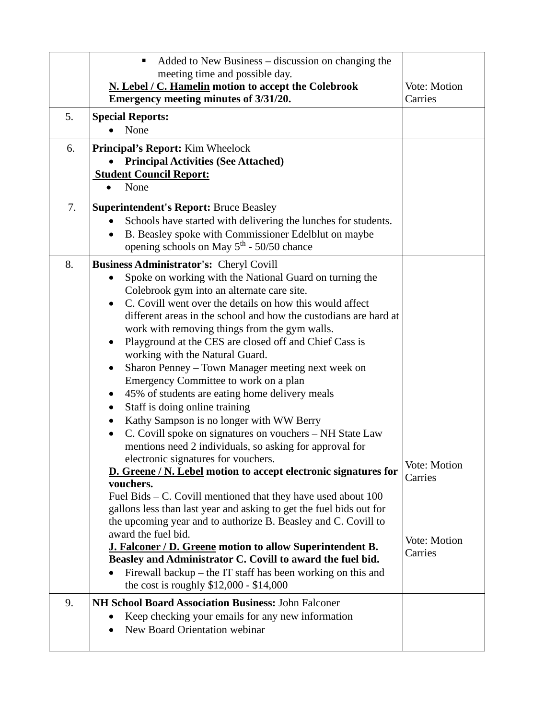|    | Added to New Business – discussion on changing the<br>٠<br>meeting time and possible day.<br>N. Lebel / C. Hamelin motion to accept the Colebrook<br>Emergency meeting minutes of 3/31/20.                                                                                                                                                                                                                                                                                                                                                                                                                                                                                                                                                                                                                                                                                                                                                                                                                                                                                                                                                                                                                                                                                                                                                                                                       | Vote: Motion<br>Carries                                   |
|----|--------------------------------------------------------------------------------------------------------------------------------------------------------------------------------------------------------------------------------------------------------------------------------------------------------------------------------------------------------------------------------------------------------------------------------------------------------------------------------------------------------------------------------------------------------------------------------------------------------------------------------------------------------------------------------------------------------------------------------------------------------------------------------------------------------------------------------------------------------------------------------------------------------------------------------------------------------------------------------------------------------------------------------------------------------------------------------------------------------------------------------------------------------------------------------------------------------------------------------------------------------------------------------------------------------------------------------------------------------------------------------------------------|-----------------------------------------------------------|
| 5. | <b>Special Reports:</b><br>None                                                                                                                                                                                                                                                                                                                                                                                                                                                                                                                                                                                                                                                                                                                                                                                                                                                                                                                                                                                                                                                                                                                                                                                                                                                                                                                                                                  |                                                           |
| 6. | <b>Principal's Report:</b> Kim Wheelock<br><b>Principal Activities (See Attached)</b><br><b>Student Council Report:</b><br>None                                                                                                                                                                                                                                                                                                                                                                                                                                                                                                                                                                                                                                                                                                                                                                                                                                                                                                                                                                                                                                                                                                                                                                                                                                                                  |                                                           |
| 7. | <b>Superintendent's Report: Bruce Beasley</b><br>Schools have started with delivering the lunches for students.<br>B. Beasley spoke with Commissioner Edelblut on maybe<br>$\bullet$<br>opening schools on May 5 <sup>th</sup> - 50/50 chance                                                                                                                                                                                                                                                                                                                                                                                                                                                                                                                                                                                                                                                                                                                                                                                                                                                                                                                                                                                                                                                                                                                                                    |                                                           |
| 8. | <b>Business Administrator's: Cheryl Covill</b><br>Spoke on working with the National Guard on turning the<br>Colebrook gym into an alternate care site.<br>C. Covill went over the details on how this would affect<br>different areas in the school and how the custodians are hard at<br>work with removing things from the gym walls.<br>Playground at the CES are closed off and Chief Cass is<br>working with the Natural Guard.<br>Sharon Penney - Town Manager meeting next week on<br>٠<br>Emergency Committee to work on a plan<br>45% of students are eating home delivery meals<br>Staff is doing online training<br>Kathy Sampson is no longer with WW Berry<br>C. Covill spoke on signatures on vouchers - NH State Law<br>mentions need 2 individuals, so asking for approval for<br>electronic signatures for vouchers.<br>D. Greene / N. Lebel motion to accept electronic signatures for<br>vouchers.<br>Fuel Bids $-$ C. Covill mentioned that they have used about 100<br>gallons less than last year and asking to get the fuel bids out for<br>the upcoming year and to authorize B. Beasley and C. Covill to<br>award the fuel bid.<br>J. Falconer / D. Greene motion to allow Superintendent B.<br>Beasley and Administrator C. Covill to award the fuel bid.<br>Firewall backup $-$ the IT staff has been working on this and<br>the cost is roughly $$12,000 - $14,000$ | <b>Vote: Motion</b><br>Carries<br>Vote: Motion<br>Carries |
| 9. | NH School Board Association Business: John Falconer<br>Keep checking your emails for any new information<br>New Board Orientation webinar                                                                                                                                                                                                                                                                                                                                                                                                                                                                                                                                                                                                                                                                                                                                                                                                                                                                                                                                                                                                                                                                                                                                                                                                                                                        |                                                           |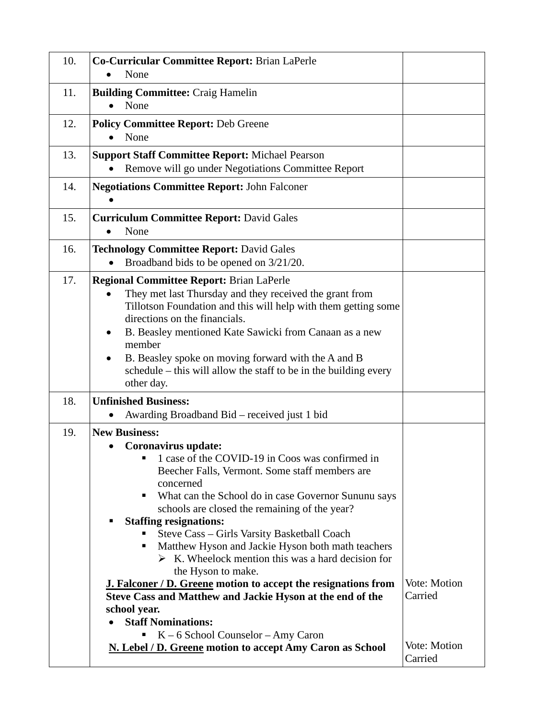| 10. | Co-Curricular Committee Report: Brian LaPerle<br>None                                                                                                                                                                                                                                                                                                                                                                                                                                                                                                                                                                                                                                                                                                                                                          |                                                    |
|-----|----------------------------------------------------------------------------------------------------------------------------------------------------------------------------------------------------------------------------------------------------------------------------------------------------------------------------------------------------------------------------------------------------------------------------------------------------------------------------------------------------------------------------------------------------------------------------------------------------------------------------------------------------------------------------------------------------------------------------------------------------------------------------------------------------------------|----------------------------------------------------|
| 11. | <b>Building Committee: Craig Hamelin</b><br>None                                                                                                                                                                                                                                                                                                                                                                                                                                                                                                                                                                                                                                                                                                                                                               |                                                    |
| 12. | <b>Policy Committee Report: Deb Greene</b><br>None                                                                                                                                                                                                                                                                                                                                                                                                                                                                                                                                                                                                                                                                                                                                                             |                                                    |
| 13. | <b>Support Staff Committee Report: Michael Pearson</b><br>Remove will go under Negotiations Committee Report                                                                                                                                                                                                                                                                                                                                                                                                                                                                                                                                                                                                                                                                                                   |                                                    |
| 14. | <b>Negotiations Committee Report: John Falconer</b>                                                                                                                                                                                                                                                                                                                                                                                                                                                                                                                                                                                                                                                                                                                                                            |                                                    |
| 15. | <b>Curriculum Committee Report: David Gales</b><br>None                                                                                                                                                                                                                                                                                                                                                                                                                                                                                                                                                                                                                                                                                                                                                        |                                                    |
| 16. | <b>Technology Committee Report: David Gales</b><br>Broadband bids to be opened on 3/21/20.                                                                                                                                                                                                                                                                                                                                                                                                                                                                                                                                                                                                                                                                                                                     |                                                    |
| 17. | <b>Regional Committee Report: Brian LaPerle</b><br>They met last Thursday and they received the grant from<br>$\bullet$<br>Tillotson Foundation and this will help with them getting some<br>directions on the financials.<br>B. Beasley mentioned Kate Sawicki from Canaan as a new<br>$\bullet$<br>member<br>B. Beasley spoke on moving forward with the A and B<br>$\bullet$<br>schedule – this will allow the staff to be in the building every<br>other day.                                                                                                                                                                                                                                                                                                                                              |                                                    |
| 18. | <b>Unfinished Business:</b><br>Awarding Broadband Bid – received just 1 bid<br>٠                                                                                                                                                                                                                                                                                                                                                                                                                                                                                                                                                                                                                                                                                                                               |                                                    |
| 19. | <b>New Business:</b><br>Coronavirus update:<br>■ 1 case of the COVID-19 in Coos was confirmed in<br>Beecher Falls, Vermont. Some staff members are<br>concerned<br>What can the School do in case Governor Sununu says<br>п<br>schools are closed the remaining of the year?<br><b>Staffing resignations:</b><br>Steve Cass - Girls Varsity Basketball Coach<br>Matthew Hyson and Jackie Hyson both math teachers<br>п<br>$\triangleright$ K. Wheelock mention this was a hard decision for<br>the Hyson to make.<br><b>J. Falconer / D. Greene motion to accept the resignations from</b><br>Steve Cass and Matthew and Jackie Hyson at the end of the<br>school year.<br><b>Staff Nominations:</b><br>$K - 6$ School Counselor – Amy Caron<br>Ξ<br>N. Lebel / D. Greene motion to accept Amy Caron as School | Vote: Motion<br>Carried<br>Vote: Motion<br>Carried |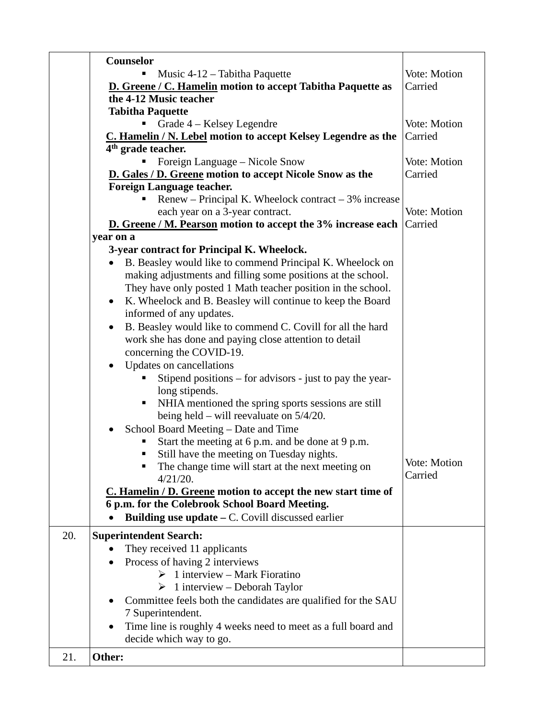|     | Counselor                                                               |              |
|-----|-------------------------------------------------------------------------|--------------|
|     | Music 4-12 – Tabitha Paquette                                           | Vote: Motion |
|     | <b>D.</b> Greene / C. Hamelin motion to accept Tabitha Paquette as      | Carried      |
|     | the 4-12 Music teacher                                                  |              |
|     | <b>Tabitha Paquette</b>                                                 |              |
|     | Grade 4 – Kelsey Legendre                                               | Vote: Motion |
|     | C. Hamelin / N. Lebel motion to accept Kelsey Legendre as the           | Carried      |
|     | 4 <sup>th</sup> grade teacher.                                          |              |
|     | Foreign Language – Nicole Snow                                          | Vote: Motion |
|     | <b>D.</b> Gales / D. Greene motion to accept Nicole Snow as the         | Carried      |
|     | <b>Foreign Language teacher.</b>                                        |              |
|     | Renew – Principal K. Wheelock contract – $3\%$ increase                 |              |
|     | each year on a 3-year contract.                                         | Vote: Motion |
|     | D. Greene / M. Pearson motion to accept the 3% increase each            | Carried      |
|     | year on a                                                               |              |
|     | 3-year contract for Principal K. Wheelock.                              |              |
|     | B. Beasley would like to commend Principal K. Wheelock on               |              |
|     | making adjustments and filling some positions at the school.            |              |
|     | They have only posted 1 Math teacher position in the school.            |              |
|     | K. Wheelock and B. Beasley will continue to keep the Board<br>$\bullet$ |              |
|     | informed of any updates.                                                |              |
|     | B. Beasley would like to commend C. Covill for all the hard             |              |
|     | $\bullet$                                                               |              |
|     | work she has done and paying close attention to detail                  |              |
|     | concerning the COVID-19.                                                |              |
|     | Updates on cancellations                                                |              |
|     | Stipend positions – for advisors - just to pay the year-                |              |
|     | long stipends.                                                          |              |
|     | NHIA mentioned the spring sports sessions are still<br>п                |              |
|     | being held – will reevaluate on $5/4/20$ .                              |              |
|     | School Board Meeting – Date and Time<br>٠                               |              |
|     | Start the meeting at 6 p.m. and be done at 9 p.m.                       |              |
|     | Still have the meeting on Tuesday nights.<br>ш                          | Vote: Motion |
|     | The change time will start at the next meeting on                       | Carried      |
|     | 4/21/20.                                                                |              |
|     | C. Hamelin / D. Greene motion to accept the new start time of           |              |
|     | 6 p.m. for the Colebrook School Board Meeting.                          |              |
|     | Building use update $-$ C. Covill discussed earlier                     |              |
| 20. | <b>Superintendent Search:</b>                                           |              |
|     | They received 11 applicants                                             |              |
|     | Process of having 2 interviews                                          |              |
|     | $\triangleright$ 1 interview – Mark Fioratino                           |              |
|     | $\triangleright$ 1 interview – Deborah Taylor                           |              |
|     | Committee feels both the candidates are qualified for the SAU           |              |
|     | 7 Superintendent.                                                       |              |
|     | Time line is roughly 4 weeks need to meet as a full board and           |              |
|     | decide which way to go.                                                 |              |
|     |                                                                         |              |
| 21. | Other:                                                                  |              |